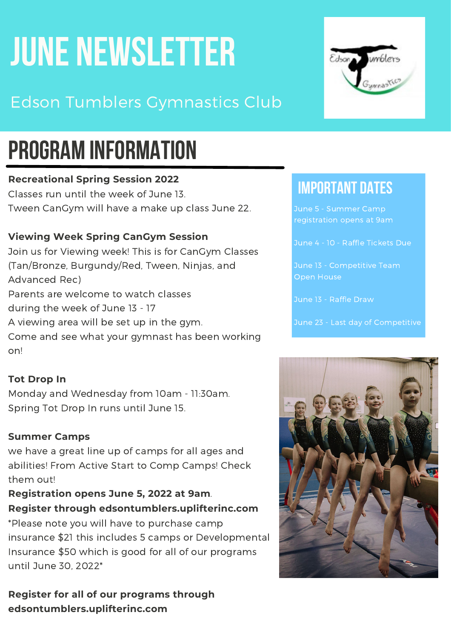# **JUNE NEWSLETTER**

### Edson Tumblers Gymnastics Club

## **PROGRAM INFORMATION**

#### **Recreational Spring Session 2022**

Classes run until the week of June 13. Tween CanGym will have a make up class June 22.

#### **Viewing Week Spring CanGym Session**

Join us for Viewing week! This is for CanGym Classes (Tan/Bronze, Burgundy/Red, Tween, Ninjas, and Advanced Rec) Parents are welcome to watch classes during the week of June 13 - 17 A viewing area will be set up in the gym. Come and see what your gymnast has been working on!

#### **Tot Drop In**

Monday and Wednesday from 10am - 11:30am. Spring Tot Drop In runs until June 15.

#### **Summer Camps**

we have a great line up of camps for all ages and abilities! From Active Start to Comp Camps! Check them out!

#### **Registration opens June 5, 2022 at 9am**. **Register through [edsontumblers.uplifterinc.com](https://l.facebook.com/l.php?u=http%3A%2F%2Fedsontumblers.uplifterinc.com%2F%3Ffbclid%3DIwAR0xRgp_x82TVXcW6C2RTT-bSPyl5fSxq9jZ_nhpZa5tURGkluJ1d1YnhGQ&h=AT0ppCUX1khOMYg36brTZGMPdx-NV6kcMINUiPUdlZngamZzEN_H6_ykUf-UzEzGYAP_n_yVuEbsVQkrlSZIjowDx0jAopHgH0cgid5U65V99Fog3mBvlS8CNmNj6aOKdA&__tn__=-UK-R&c[0]=AT2FKL2bqmjxBuDm_9hJFGa-7rtrYYODUYvswODU_BZ0T4mqeX9sDnZ3dHRIAriX7Q1kQfZK1Wzl5OqQdldzsQNOpOWnetlE19TRu4xDhF4Wk0pqRuW4KTKkgq4ePGuYpv3FqqKw2Fp_DuwGPRFv6R4TdJFRTS4sSmq-tbAdaU2oU96euHMPAhcA5L6WUb_lpYd4B_EAsnjTKSMtzUtGeEfbXCgnf0UQCDA)**

\*Please note you will have to purchase camp insurance \$21 this includes 5 camps or Developmental Insurance \$50 which is good for all of our programs until June 30, 2022\*

**Register for all of our programs through edsontumblers.uplifterinc.com**



### **IMPORTANT DATES**

June 5 - Summer Camp registration opens at 9am

June 4 - 10 - Raffle Tickets Due

Open House

June 13 - Raffle Draw

June 23 - Last day of Competitive